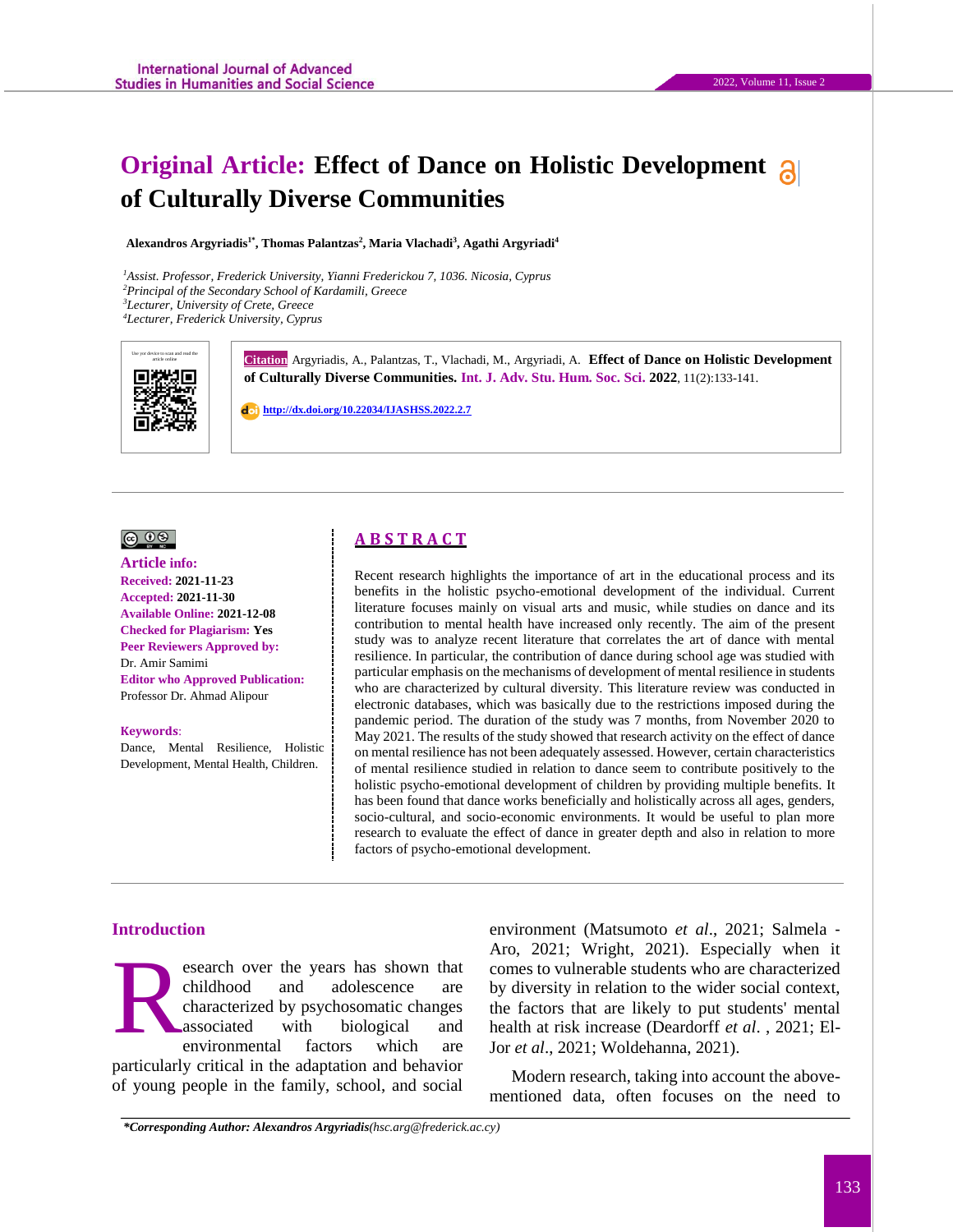# **Original Article: Effect of Dance on Holistic Development of Culturally Diverse Communities**

**Alexandros Argyriadis1\*, Thomas Palantzas<sup>2</sup> , Maria Vlachadi<sup>3</sup> , Agathi Argyriadi<sup>4</sup>**

*Assist. Professor, Frederick University, Yianni Frederickou 7, 1036. Nicosia, Cyprus Principal of the Secondary School of Kardamili, Greece Lecturer, University of Crete, Greece Lecturer, Frederick University, Cyprus*



Gitation Argyriadis, A., Palantzas, T., Vlachadi, M., Argyriadi, A. Effect of Dance on Holistic Development **of Culturally Diverse Communities. Int. J. Adv. Stu. Hum. Soc. Sci. 2022**, 11(2):133-141.

 **<http://dx.doi.org/10.22034/IJASHSS.2022.2.7>**

## $\circledcirc$   $\circledcirc$

#### **Article info:**

**Received: 2021-11-23 Accepted: 2021-11-30 Available Online: 2021-12-08 Checked for Plagiarism: Yes Peer Reviewers Approved by:**  Dr. Amir Samimi **Editor who Approved Publication:**  [Professor Dr. Ahmad Alipour](http://www.ijashss.com/journal/editorial.board?edbc=8091)

#### **Keywords**:

Dance, Mental Resilience, Holistic Development, Mental Health, Children.

## **A B S T R A C T**

Recent research highlights the importance of art in the educational process and its benefits in the holistic psycho-emotional development of the individual. Current literature focuses mainly on visual arts and music, while studies on dance and its contribution to mental health have increased only recently. The aim of the present study was to analyze recent literature that correlates the art of dance with mental resilience. In particular, the contribution of dance during school age was studied with particular emphasis on the mechanisms of development of mental resilience in students who are characterized by cultural diversity. This literature review was conducted in electronic databases, which was basically due to the restrictions imposed during the pandemic period. The duration of the study was 7 months, from November 2020 to May 2021. The results of the study showed that research activity on the effect of dance on mental resilience has not been adequately assessed. However, certain characteristics of mental resilience studied in relation to dance seem to contribute positively to the holistic psycho-emotional development of children by providing multiple benefits. It has been found that dance works beneficially and holistically across all ages, genders, socio-cultural, and socio-economic environments. It would be useful to plan more research to evaluate the effect of dance in greater depth and also in relation to more factors of psycho-emotional development.

#### **Introduction**

esearch over the years has shown that childhood and adolescence are characterized by psychosomatic changes associated with biological and environmental factors which are particularly critical in the adaptation and behavior of young people in the family, school, and social R

environment (Matsumoto *et al*., 2021; Salmela ‐ Aro, 2021; Wright, 2021). Especially when it comes to vulnerable students who are characterized by diversity in relation to the wider social context, the factors that are likely to put students' mental health at risk increase (Deardorff *et al*. , 2021; El-Jor *et al*., 2021; Woldehanna, 2021).

Modern research, taking into account the abovementioned data, often focuses on the need to

*\*Corresponding Author: Alexandros Argyriadis(hsc.arg@frederick.ac.cy)*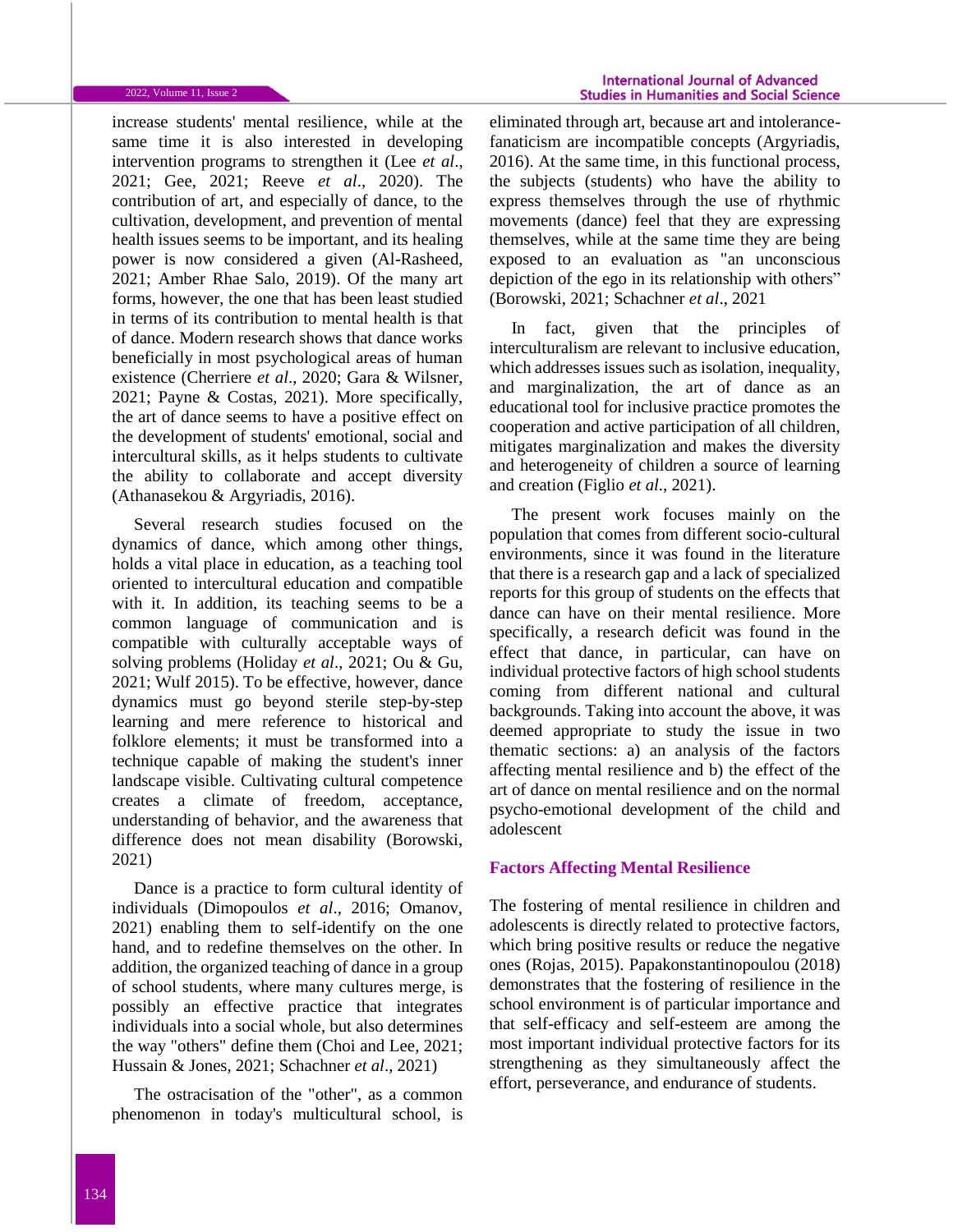#### 2022, Volume 11, Issue 2

increase students' mental resilience, while at the same time it is also interested in developing intervention programs to strengthen it (Lee *et al*., 2021; Gee, 2021; Reeve *et al*., 2020). The contribution of art, and especially of dance, to the cultivation, development, and prevention of mental health issues seems to be important, and its healing power is now considered a given (Al-Rasheed, 2021; Amber Rhae Salo, 2019). Of the many art forms, however, the one that has been least studied in terms of its contribution to mental health is that of dance. Modern research shows that dance works beneficially in most psychological areas of human existence (Cherriere *et al*., 2020; Gara & Wilsner, 2021; Payne & Costas, 2021). More specifically, the art of dance seems to have a positive effect on the development of students' emotional, social and intercultural skills, as it helps students to cultivate the ability to collaborate and accept diversity (Athanasekou & Argyriadis, 2016).

Several research studies focused on the dynamics of dance, which among other things, holds a vital place in education, as a teaching tool oriented to intercultural education and compatible with it. In addition, its teaching seems to be a common language of communication and is compatible with culturally acceptable ways of solving problems (Holiday *et al*., 2021; Ou & Gu, 2021; Wulf 2015). To be effective, however, dance dynamics must go beyond sterile step-by-step learning and mere reference to historical and folklore elements; it must be transformed into a technique capable of making the student's inner landscape visible. Cultivating cultural competence creates a climate of freedom, acceptance, understanding of behavior, and the awareness that difference does not mean disability (Borowski, 2021)

Dance is a practice to form cultural identity of individuals (Dimopoulos *et al*., 2016; Omanov, 2021) enabling them to self-identify on the one hand, and to redefine themselves on the other. In addition, the organized teaching of dance in a group of school students, where many cultures merge, is possibly an effective practice that integrates individuals into a social whole, but also determines the way "others" define them (Choi and Lee, 2021; Hussain & Jones, 2021; Schachner *et al*., 2021)

The ostracisation of the "other", as a common phenomenon in today's multicultural school, is

eliminated through art, because art and intolerancefanaticism are incompatible concepts (Argyriadis, 2016). At the same time, in this functional process, the subjects (students) who have the ability to express themselves through the use of rhythmic movements (dance) feel that they are expressing themselves, while at the same time they are being exposed to an evaluation as "an unconscious depiction of the ego in its relationship with others" (Borowski, 2021; Schachner *et al*., 2021

In fact, given that the principles of interculturalism are relevant to inclusive education, which addresses issues such as isolation, inequality, and marginalization, the art of dance as an educational tool for inclusive practice promotes the cooperation and active participation of all children, mitigates marginalization and makes the diversity and heterogeneity of children a source of learning and creation (Figlio *et al*., 2021).

The present work focuses mainly on the population that comes from different socio-cultural environments, since it was found in the literature that there is a research gap and a lack of specialized reports for this group of students on the effects that dance can have on their mental resilience. More specifically, a research deficit was found in the effect that dance, in particular, can have on individual protective factors of high school students coming from different national and cultural backgrounds. Taking into account the above, it was deemed appropriate to study the issue in two thematic sections: a) an analysis of the factors affecting mental resilience and b) the effect of the art of dance on mental resilience and on the normal psycho-emotional development of the child and adolescent

## **Factors Affecting Mental Resilience**

The fostering of mental resilience in children and adolescents is directly related to protective factors, which bring positive results or reduce the negative ones (Rojas, 2015). Papakonstantinopoulou (2018) demonstrates that the fostering of resilience in the school environment is of particular importance and that self-efficacy and self-esteem are among the most important individual protective factors for its strengthening as they simultaneously affect the effort, perseverance, and endurance of students.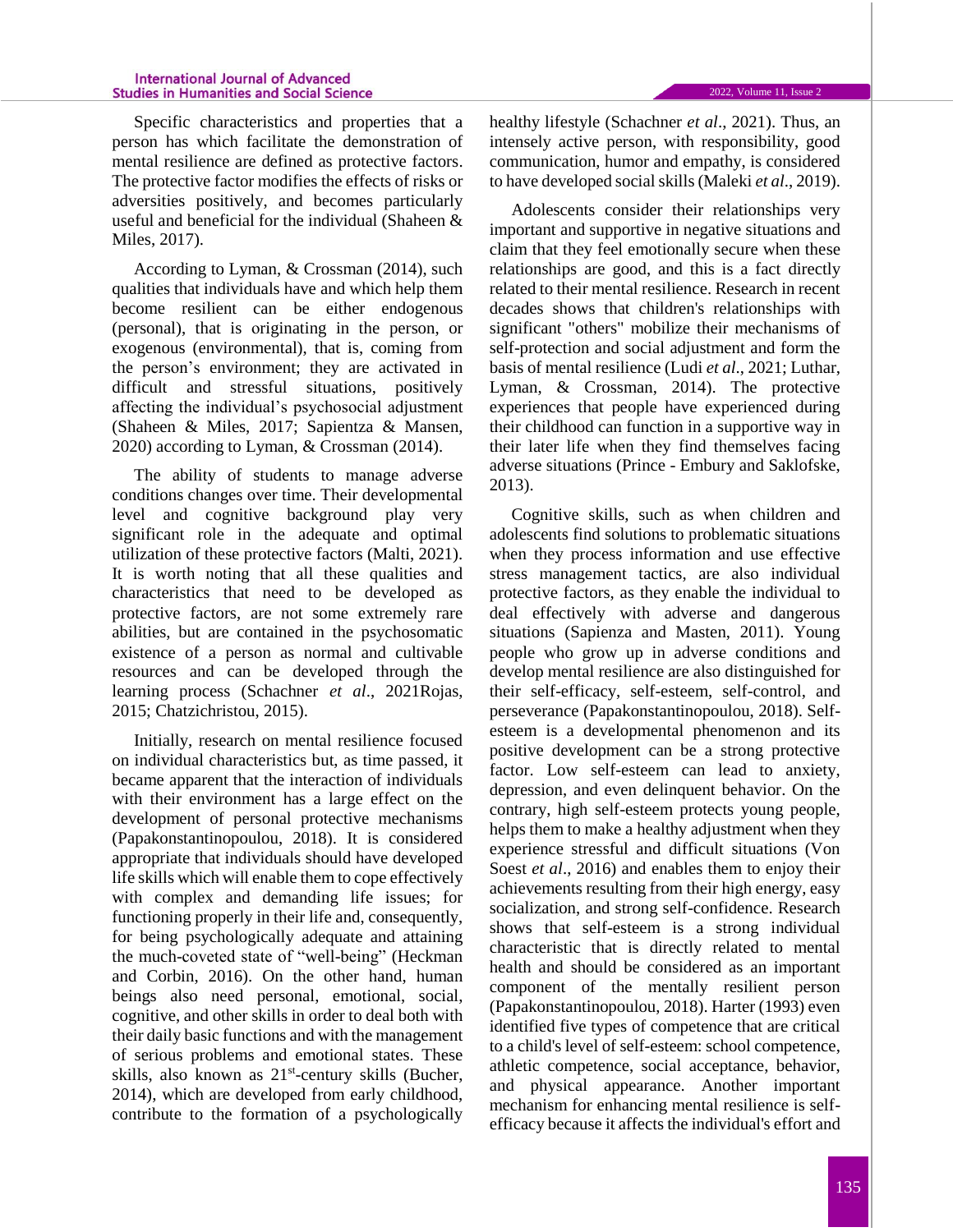#### **International Journal of Advanced Studies in Humanities and Social Science**

Specific characteristics and properties that a person has which facilitate the demonstration of mental resilience are defined as protective factors. The protective factor modifies the effects of risks or adversities positively, and becomes particularly useful and beneficial for the individual (Shaheen & Miles, 2017).

According to Lyman, & Crossman (2014), such qualities that individuals have and which help them become resilient can be either endogenous (personal), that is οriginating in the person, or exogenous (environmental), that is, coming from the person's environment; they are activated in difficult and stressful situations, positively affecting the individual's psychosocial adjustment (Shaheen & Miles, 2017; Sapientza & Mansen, 2020) according to Lyman, & Crossman (2014).

The ability of students to manage adverse conditions changes over time. Their developmental level and cognitive background play very significant role in the adequate and optimal utilization of these protective factors (Malti, 2021). It is worth noting that all these qualities and characteristics that need to be developed as protective factors, are not some extremely rare abilities, but are contained in the psychosomatic existence of a person as normal and cultivable resources and can be developed through the learning process (Schachner *et al*., 2021Rojas, 2015; Chatzichristou, 2015).

Initially, research on mental resilience focused on individual characteristics but, as time passed, it became apparent that the interaction of individuals with their environment has a large effect on the development of personal protective mechanisms (Papakonstantinopoulou, 2018). It is considered appropriate that individuals should have developed life skills which will enable them to cope effectively with complex and demanding life issues; for functioning properly in their life and, consequently, for being psychologically adequate and attaining the much-coveted state of "well-being" (Heckman and Corbin, 2016). On the other hand, human beings also need personal, emotional, social, cognitive, and other skills in order to deal both with their daily basic functions and with the management of serious problems and emotional states. These skills, also known as 21<sup>st</sup>-century skills (Bucher, 2014), which are developed from early childhood, contribute to the formation of a psychologically

healthy lifestyle (Schachner *et al*., 2021). Thus, an intensely active person, with responsibility, good communication, humor and empathy, is considered to have developed social skills (Maleki *et al*., 2019).

Adolescents consider their relationships very important and supportive in negative situations and claim that they feel emotionally secure when these relationships are good, and this is a fact directly related to their mental resilience. Research in recent decades shows that children's relationships with significant "others" mobilize their mechanisms of self-protection and social adjustment and form the basis of mental resilience (Ludi *et al*., 2021; Luthar, Lyman, & Crossman, 2014). The protective experiences that people have experienced during their childhood can function in a supportive way in their later life when they find themselves facing adverse situations (Prince - Embury and Saklofske, 2013).

Cognitive skills, such as when children and adolescents find solutions to problematic situations when they process information and use effective stress management tactics, are also individual protective factors, as they enable the individual to deal effectively with adverse and dangerous situations (Sapienza and Masten, 2011). Young people who grow up in adverse conditions and develop mental resilience are also distinguished for their self-efficacy, self-esteem, self-control, and perseverance (Papakonstantinopoulou, 2018). Selfesteem is a developmental phenomenon and its positive development can be a strong protective factor. Low self-esteem can lead to anxiety, depression, and even delinquent behavior. On the contrary, high self-esteem protects young people, helps them to make a healthy adjustment when they experience stressful and difficult situations (Von Soest *et al.*, 2016) and enables them to enjoy their achievements resulting from their high energy, easy socialization, and strong self-confidence. Research shows that self-esteem is a strong individual characteristic that is directly related to mental health and should be considered as an important component of the mentally resilient person (Papakonstantinopoulou, 2018). Harter (1993) even identified five types of competence that are critical to a child's level of self-esteem: school competence, athletic competence, social acceptance, behavior, and physical appearance. Another important mechanism for enhancing mental resilience is selfefficacy because it affects the individual's effort and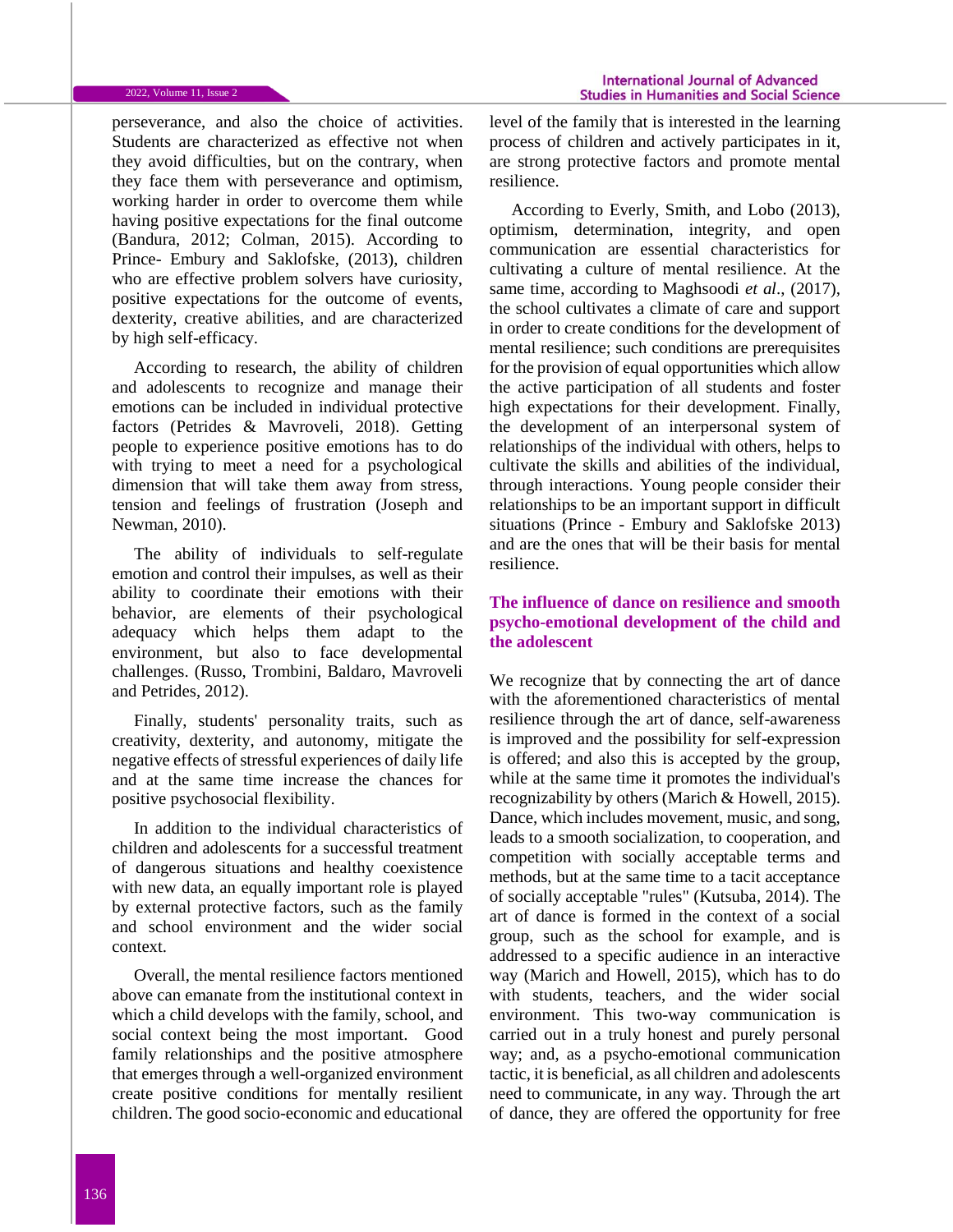perseverance, and also the choice of activities. Students are characterized as effective not when they avoid difficulties, but on the contrary, when they face them with perseverance and optimism, working harder in order to overcome them while having positive expectations for the final outcome (Bandura, 2012; Colman, 2015). According to Prince- Embury and Saklofske, (2013), children who are effective problem solvers have curiosity, positive expectations for the outcome of events, dexterity, creative abilities, and are characterized by high self-efficacy.

According to research, the ability of children and adolescents to recognize and manage their emotions can be included in individual protective factors (Petrides & Mavroveli, 2018). Getting people to experience positive emotions has to do with trying to meet a need for a psychological dimension that will take them away from stress, tension and feelings of frustration (Joseph and Newman, 2010).

The ability of individuals to self-regulate emotion and control their impulses, as well as their ability to coordinate their emotions with their behavior, are elements of their psychological adequacy which helps them adapt to the environment, but also to face developmental challenges. (Russo, Trombini, Baldaro, Mavroveli and Petrides, 2012).

Finally, students' personality traits, such as creativity, dexterity, and autonomy, mitigate the negative effects of stressful experiences of daily life and at the same time increase the chances for positive psychosocial flexibility.

In addition to the individual characteristics of children and adolescents for a successful treatment of dangerous situations and healthy coexistence with new data, an equally important role is played by external protective factors, such as the family and school environment and the wider social context.

Overall, the mental resilience factors mentioned above can emanate from the institutional context in which a child develops with the family, school, and social context being the most important. Good family relationships and the positive atmosphere that emerges through a well-organized environment create positive conditions for mentally resilient children. The good socio-economic and educational

level of the family that is interested in the learning process of children and actively participates in it, are strong protective factors and promote mental resilience.

According to Everly, Smith, and Lobo (2013), optimism, determination, integrity, and open communication are essential characteristics for cultivating a culture of mental resilience. At the same time, according to Maghsoodi *et al*., (2017), the school cultivates a climate of care and support in order to create conditions for the development of mental resilience; such conditions are prerequisites for the provision of equal opportunities which allow the active participation of all students and foster high expectations for their development. Finally, the development of an interpersonal system of relationships of the individual with others, helps to cultivate the skills and abilities of the individual, through interactions. Young people consider their relationships to be an important support in difficult situations (Prince - Embury and Saklofske 2013) and are the ones that will be their basis for mental resilience.

## **The influence of dance on resilience and smooth psycho-emotional development of the child and the adolescent**

We recognize that by connecting the art of dance with the aforementioned characteristics of mental resilience through the art of dance, self-awareness is improved and the possibility for self-expression is offered; and also this is accepted by the group, while at the same time it promotes the individual's recognizability by others (Marich & Howell, 2015). Dance, which includes movement, music, and song, leads to a smooth socialization, to cooperation, and competition with socially acceptable terms and methods, but at the same time to a tacit acceptance of socially acceptable "rules" (Kutsuba, 2014). The art of dance is formed in the context of a social group, such as the school for example, and is addressed to a specific audience in an interactive way (Marich and Howell, 2015), which has to do with students, teachers, and the wider social environment. This two-way communication is carried out in a truly honest and purely personal way; and, as a psycho-emotional communication tactic, it is beneficial, as all children and adolescents need to communicate, in any way. Through the art of dance, they are offered the opportunity for free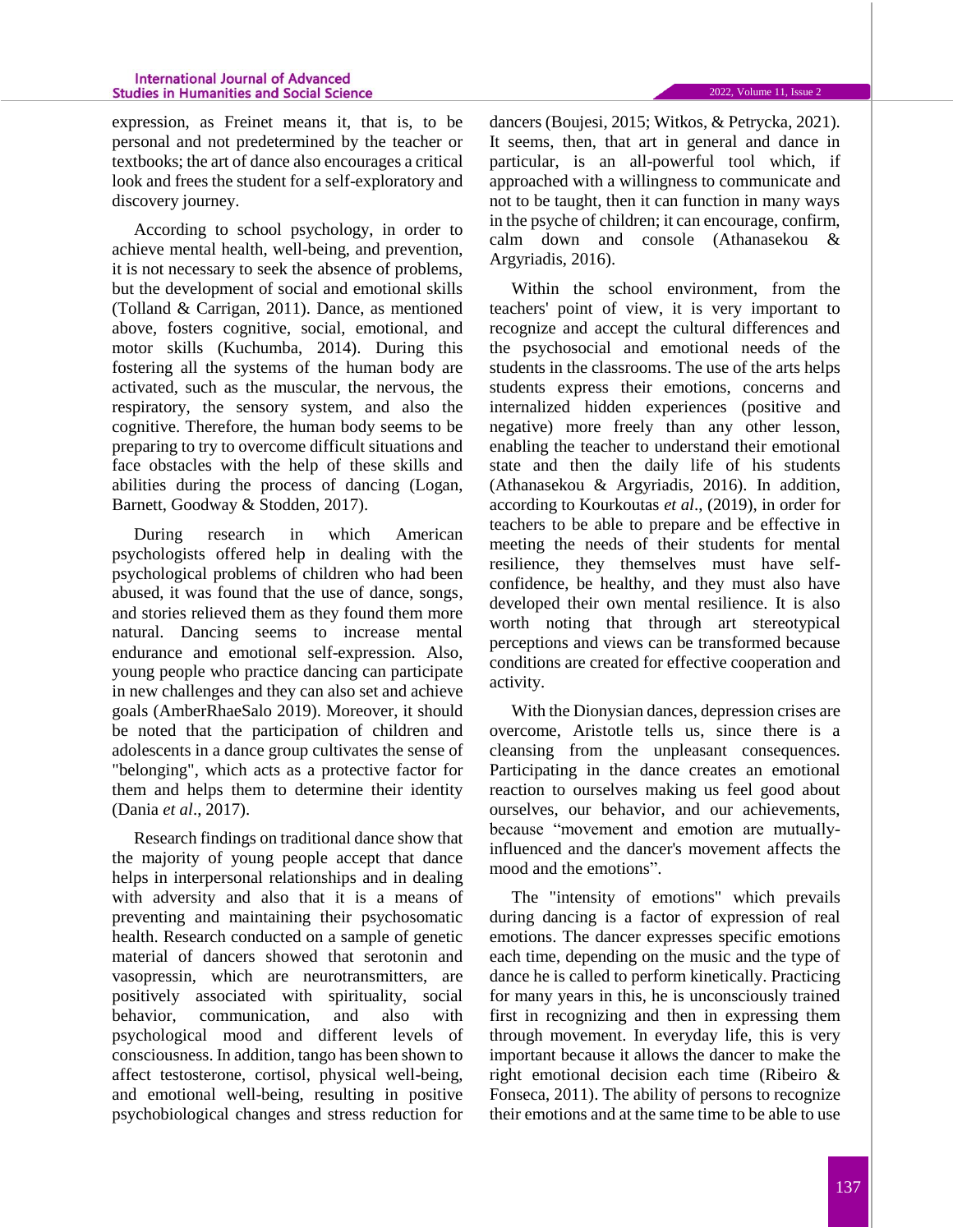expression, as Freinet means it, that is, to be personal and not predetermined by the teacher or textbooks; the art of dance also encourages a critical look and frees the student for a self-exploratory and discovery journey.

According to school psychology, in order to achieve mental health, well-being, and prevention, it is not necessary to seek the absence of problems, but the development of social and emotional skills (Tolland & Carrigan, 2011). Dance, as mentioned above, fosters cognitive, social, emotional, and motor skills (Kuchumba, 2014). During this fostering all the systems of the human body are activated, such as the muscular, the nervous, the respiratory, the sensory system, and also the cognitive. Therefore, the human body seems to be preparing to try to overcome difficult situations and face obstacles with the help of these skills and abilities during the process of dancing (Logan, Barnett, Goodway & Stodden, 2017).

During research in which American psychologists offered help in dealing with the psychological problems of children who had been abused, it was found that the use of dance, songs, and stories relieved them as they found them more natural. Dancing seems to increase mental endurance and emotional self-expression. Also, young people who practice dancing can participate in new challenges and they can also set and achieve goals (AmberRhaeSalo 2019). Moreover, it should be noted that the participation of children and adolescents in a dance group cultivates the sense of "belonging", which acts as a protective factor for them and helps them to determine their identity (Dania *et al*., 2017).

Research findings on traditional dance show that the majority of young people accept that dance helps in interpersonal relationships and in dealing with adversity and also that it is a means of preventing and maintaining their psychosomatic health. Research conducted on a sample of genetic material of dancers showed that serotonin and vasopressin, which are neurotransmitters, are positively associated with spirituality, social behavior, communication, and also with psychological mood and different levels of consciousness. In addition, tango has been shown to affect testosterone, cortisol, physical well-being, and emotional well-being, resulting in positive psychobiological changes and stress reduction for dancers (Boujesi, 2015; Witkos, & Petrycka, 2021). It seems, then, that art in general and dance in particular, is an all-powerful tool which, if approached with a willingness to communicate and not to be taught, then it can function in many ways in the psyche of children; it can encourage, confirm, calm down and console (Athanasekou & Argyriadis, 2016).

Within the school environment, from the teachers' point of view, it is very important to recognize and accept the cultural differences and the psychosocial and emotional needs of the students in the classrooms. The use of the arts helps students express their emotions, concerns and internalized hidden experiences (positive and negative) more freely than any other lesson, enabling the teacher to understand their emotional state and then the daily life of his students (Athanasekou & Argyriadis, 2016). In addition, according to Kourkoutas *et al*., (2019), in order for teachers to be able to prepare and be effective in meeting the needs of their students for mental resilience, they themselves must have selfconfidence, be healthy, and they must also have developed their own mental resilience. It is also worth noting that through art stereotypical perceptions and views can be transformed because conditions are created for effective cooperation and activity.

With the Dionysian dances, depression crises are overcome, Aristotle tells us, since there is a cleansing from the unpleasant consequences. Participating in the dance creates an emotional reaction to ourselves making us feel good about ourselves, our behavior, and our achievements, because "movement and emotion are mutuallyinfluenced and the dancer's movement affects the mood and the emotions".

The "intensity of emotions" which prevails during dancing is a factor of expression of real emotions. The dancer expresses specific emotions each time, depending on the music and the type of dance he is called to perform kinetically. Practicing for many years in this, he is unconsciously trained first in recognizing and then in expressing them through movement. In everyday life, this is very important because it allows the dancer to make the right emotional decision each time (Ribeiro & Fonseca, 2011). The ability of persons to recognize their emotions and at the same time to be able to use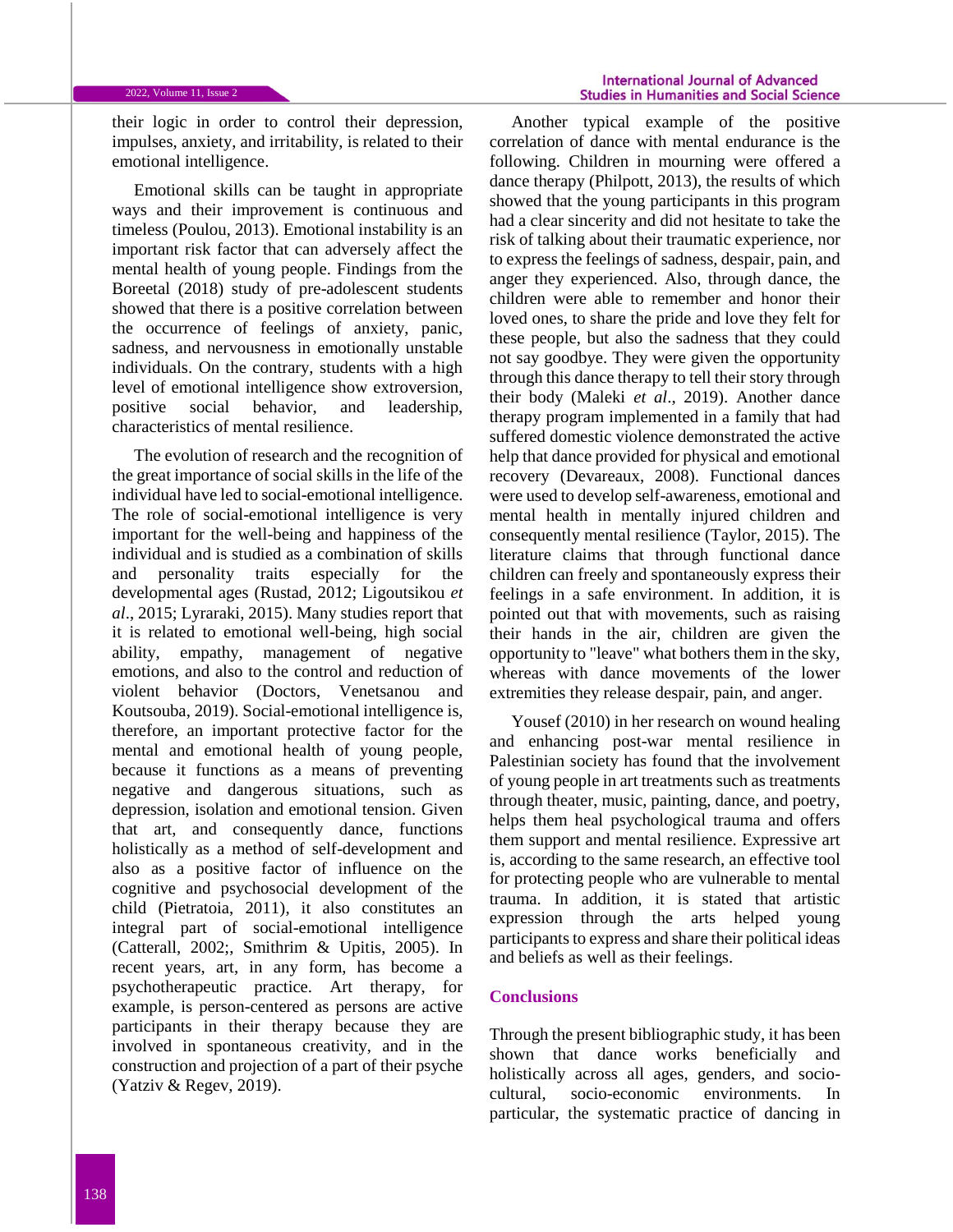their logic in order to control their depression, impulses, anxiety, and irritability, is related to their emotional intelligence.

Emotional skills can be taught in appropriate ways and their improvement is continuous and timeless (Poulou, 2013). Emotional instability is an important risk factor that can adversely affect the mental health of young people. Findings from the Boreetal (2018) study of pre-adolescent students showed that there is a positive correlation between the occurrence of feelings of anxiety, panic, sadness, and nervousness in emotionally unstable individuals. On the contrary, students with a high level of emotional intelligence show extroversion, positive social behavior, and leadership, characteristics of mental resilience.

The evolution of research and the recognition of the great importance of social skills in the life of the individual have led to social-emotional intelligence. The role of social-emotional intelligence is very important for the well-being and happiness of the individual and is studied as a combination of skills and personality traits especially for the developmental ages (Rustad, 2012; Ligoutsikou *et al*., 2015; Lyraraki, 2015). Many studies report that it is related to emotional well-being, high social ability, empathy, management of negative emotions, and also to the control and reduction of violent behavior (Doctors, Venetsanou and Koutsouba, 2019). Social-emotional intelligence is, therefore, an important protective factor for the mental and emotional health of young people, because it functions as a means of preventing negative and dangerous situations, such as depression, isolation and emotional tension. Given that art, and consequently dance, functions holistically as a method of self-development and also as a positive factor of influence on the cognitive and psychosocial development of the child (Pietratoia, 2011), it also constitutes an integral part of social-emotional intelligence (Catterall, 2002;, Smithrim & Upitis, 2005). In recent years, art, in any form, has become a psychotherapeutic practice. Art therapy, for example, is person-centered as persons are active participants in their therapy because they are involved in spontaneous creativity, and in the construction and projection of a part of their psyche (Yatziv & Regev, 2019).

Another typical example of the positive correlation of dance with mental endurance is the following. Children in mourning were offered a dance therapy (Philpott, 2013), the results of which showed that the young participants in this program had a clear sincerity and did not hesitate to take the risk of talking about their traumatic experience, nor to express the feelings of sadness, despair, pain, and anger they experienced. Also, through dance, the children were able to remember and honor their loved ones, to share the pride and love they felt for these people, but also the sadness that they could not say goodbye. They were given the opportunity through this dance therapy to tell their story through their body (Maleki *et al*., 2019). Another dance therapy program implemented in a family that had suffered domestic violence demonstrated the active help that dance provided for physical and emotional recovery (Devareaux, 2008). Functional dances were used to develop self-awareness, emotional and mental health in mentally injured children and consequently mental resilience (Taylor, 2015). The literature claims that through functional dance children can freely and spontaneously express their feelings in a safe environment. In addition, it is pointed out that with movements, such as raising their hands in the air, children are given the opportunity to "leave" what bothers them in the sky, whereas with dance movements of the lower extremities they release despair, pain, and anger.

Yousef (2010) in her research on wound healing and enhancing post-war mental resilience in Palestinian society has found that the involvement of young people in art treatments such as treatments through theater, music, painting, dance, and poetry, helps them heal psychological trauma and offers them support and mental resilience. Expressive art is, according to the same research, an effective tool for protecting people who are vulnerable to mental trauma. In addition, it is stated that artistic expression through the arts helped young participants to express and share their political ideas and beliefs as well as their feelings.

### **Conclusions**

Through the present bibliographic study, it has been shown that dance works beneficially and holistically across all ages, genders, and sociocultural, socio-economic environments. In particular, the systematic practice of dancing in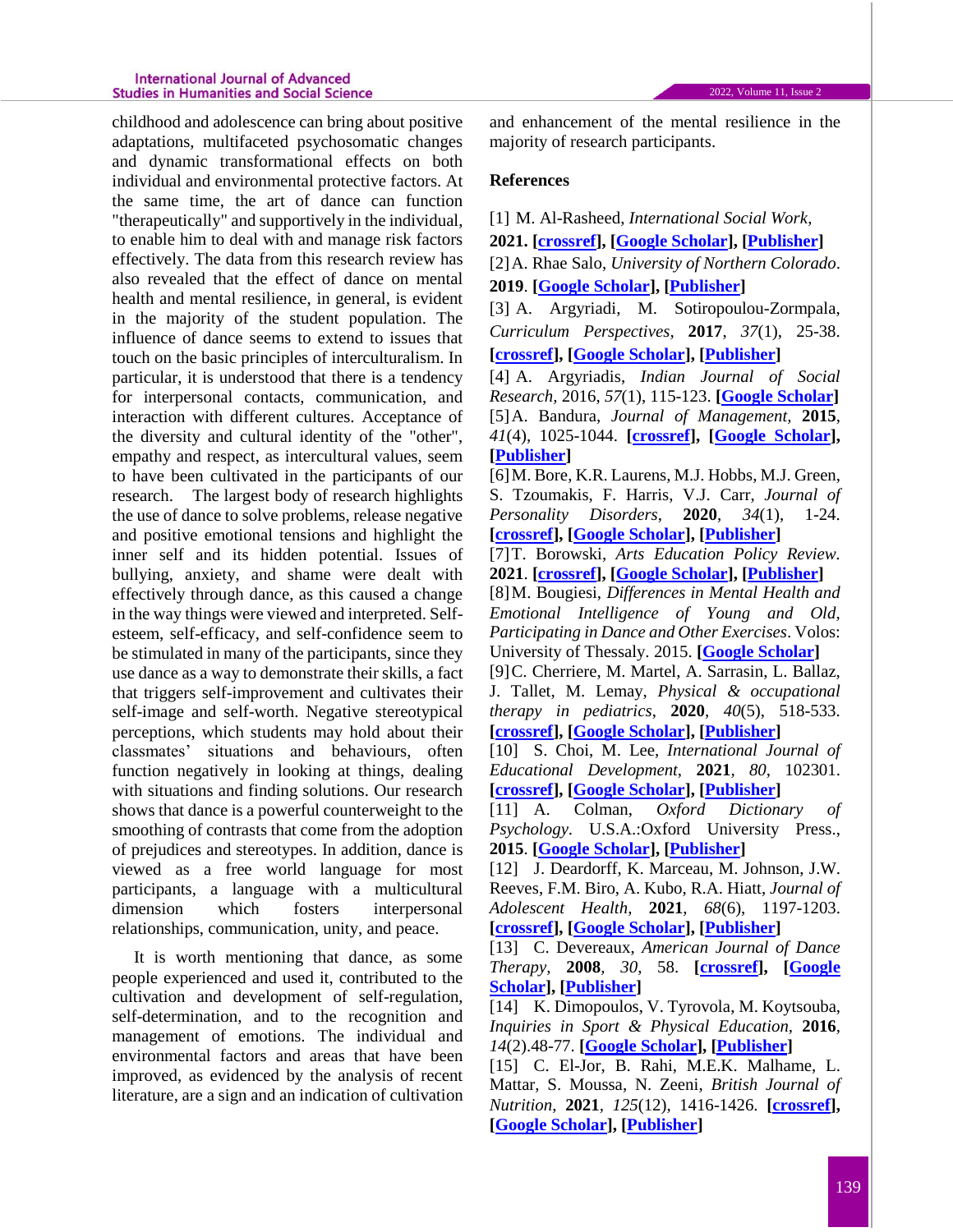#### **International Journal of Advanced Studies in Humanities and Social Science**

childhood and adolescence can bring about positive adaptations, multifaceted psychosomatic changes and dynamic transformational effects on both individual and environmental protective factors. At the same time, the art of dance can function "therapeutically" and supportively in the individual, to enable him to deal with and manage risk factors effectively. The data from this research review has also revealed that the effect of dance on mental health and mental resilience, in general, is evident in the majority of the student population. The influence of dance seems to extend to issues that touch on the basic principles of interculturalism. In particular, it is understood that there is a tendency for interpersonal contacts, communication, and interaction with different cultures. Acceptance of the diversity and cultural identity of the "other", empathy and respect, as intercultural values, seem to have been cultivated in the participants of our research. The largest body of research highlights the use of dance to solve problems, release negative and positive emotional tensions and highlight the inner self and its hidden potential. Issues of bullying, anxiety, and shame were dealt with effectively through dance, as this caused a change in the way things were viewed and interpreted. Selfesteem, self-efficacy, and self-confidence seem to be stimulated in many of the participants, since they use dance as a way to demonstrate their skills, a fact that triggers self-improvement and cultivates their self-image and self-worth. Negative stereotypical perceptions, which students may hold about their classmates' situations and behaviours, often function negatively in looking at things, dealing with situations and finding solutions. Our research shows that dance is a powerful counterweight to the smoothing of contrasts that come from the adoption of prejudices and stereotypes. In addition, dance is viewed as a free world language for most participants, a language with a multicultural dimension which fosters interpersonal relationships, communication, unity, and peace.

It is worth mentioning that dance, as some people experienced and used it, contributed to the cultivation and development of self-regulation, self-determination, and to the recognition and management of emotions. The individual and environmental factors and areas that have been improved, as evidenced by the analysis of recent literature, are a sign and an indication of cultivation and enhancement of the mental resilience in the majority of research participants.

## **References**

[1] M. Al-Rasheed, *International Social Work*,

**2021. [\[crossref\]](https://doi.org/10.1177%2F00208728211018729), [\[Google Scholar\]](https://scholar.google.com/scholar?hl=en&as_sdt=0%2C5&q=Al-Rasheed%2C+M.+%282021%29.+Resilience-based+intervention+for+youth%3A+An+initial+investigation+of+school+social+work+program+in+Kuwait.+International+Social+Work%2C+00208728211018729.&btnG=), [\[Publisher\]](https://journals.sagepub.com/doi/abs/10.1177/00208728211018729)**

[2]A. Rhae Salo, *University of Northern Colorado*. **2019**. **[\[Google Scholar\]](https://scholar.google.com/scholar?hl=en&as_sdt=0%2C5&q=AmberRhaeSalo+%282019%29.+The+Power+of+Dance%3A+How+Dance+Effects+Mental+and+Emotional+Health+and+Self-Confidence+in+Young+Adults.+College+of+Performing+and+Visual+Arts+School+of+Theatre+Arts+and+Dance+Dance+Education+%28thesis%29.+University+of+Northern+Colorado&btnG=), [\[Publisher\]](https://digscholarship.unco.edu/theses/133/)**

[3] A. Argyriadi, M. Sotiropoulou-Zormpala, *Curriculum Perspectives*, **2017**, *37*(1), 25-38. **[\[crossref\]](https://doi.org/10.1007/s41297-016-0005-3), [\[Google Scholar\]](https://scholar.google.com/scholar?hl=en&as_sdt=0%2C5&q=Argyriadi%2C+A.%2C+%26+Sotiropoulou-Zormpala%2C+M.+%282017%29.+Engaging+first-graders+in+language+arts+through+%E2%80%98arts-flow+activities%E2%80%99.+Curriculum+Perspectives%2C+37%281%29%2C+25-38.&btnG=), [\[Publisher\]](https://link.springer.com/article/10.1007%2Fs41297-016-0005-3)**

[4] A. Argyriadis, *Indian Journal of Social Research,* 2016, *57*(1), 115-123. **[\[Google Scholar\]](https://scholar.google.com/scholar?hl=en&as_sdt=0%2C5&q=The+timeless+crisis+in+Greece+and+its+relation+to+death&btnG=)** [5]A. Bandura, *Journal of Management,* **2015**, *41*(4), 1025-1044. **[\[crossref\]](https://doi.org/10.1177%2F0149206315572826), [\[Google Scholar\]](https://scholar.google.com/scholar?hl=en&as_sdt=0%2C5&q=Bandura%2C+A.+%282015%29.+On+deconstructing+commentaries+regarding+alternative+theories+of+selfregulation.+Journal+of+Management%2C+41+%284%29%2C+1025-1044.+&btnG=), [\[Publisher\]](https://journals.sagepub.com/doi/full/10.1177/0149206315572826)**

[6]M. Bore, K.R. Laurens, M.J. Hobbs, M.J. Green, S. Tzoumakis, F. Harris, V.J. Carr, *Journal of Personality Disorders*, **2020**, *34*(1), 1-24. **[\[crossref\]](https://doi.org/10.1521/pedi_2018_32_380), [\[Google Scholar\]](https://scholar.google.com/scholar?hl=en&as_sdt=0%2C5&q=Bore%2C+M.%2C+Laurens%2C+K.+R.%2C+Hobbs%2C+M.+J.%2C+Green%2C+M.+J.%2C+Tzoumakis%2C+S.%2C+Harris%2C+F.%2C+%26+Carr%2C+V.+J.+%282018%29.+Item+Response+Theory+Analysis+of+the+Big+Five+Questionnaire+for+Children%E2%80%93Short+Form+%28BFC-SF%29%3A+A+Self-Report+Measure+of+Personality+in+Children+Aged&btnG=), [\[Publisher\]](https://guilfordjournals.com/doi/abs/10.1521/pedi_2018_32_380)**

[7]T. Borowski, *Arts Education Policy Review.* **2021**. **[\[crossref\]](https://doi.org/10.1080/10632913.2021.1961109), [\[Google Scholar\]](https://scholar.google.com/scholar?hl=en&as_sdt=0%2C5&q=+Borowski%2C+Teresa.+%282021%29.+How+dance+promotes+the+development+of+social+and+emotional+competence.+Arts+Education+Policy+Review.+Department+of+Psychology%2C+University+of+Illinois+at+Chicago%2C+Chicago%2C+IL%2C+USA.++&btnG=), [\[Publisher\]](https://www.tandfonline.com/doi/abs/10.1080/10632913.2021.1961109)**

[8]M. Bougiesi, *Differences in Mental Health and Emotional Intelligence of Young and Old, Participating in Dance and Other Exercises*. Volos: University of Thessaly. 2015. **[\[Google Scholar\]](https://scholar.google.com/scholar?hl=en&as_sdt=0%2C5&q=Differences+in+Cognitive+Function+Among+Hellenic+Folk+Dancers%2C+Exercisers+and+Non-exercisers&btnG=)**

[9]C. Cherriere, M. Martel, A. Sarrasin, L. Ballaz, J. Tallet, M. Lemay, *Physical & occupational therapy in pediatrics*, **2020**, *40*(5), 518-533. **[\[crossref\]](https://doi.org/10.1080/01942638.2020.1720053), [\[Google Scholar\]](https://scholar.google.com/scholar?hl=en&as_sdt=0%2C5&q=Cherriere%2C+C.%2C+Martel%2C+M.%2C+Sarrasin%2C+A.%2C+Ballaz%2C+L.%2C+Tallet%2C+J.%2C+%26+Lemay%2C+M.+%282020%29.+Benefits+of+a+dance+intervention+on+balance+in+adolescents+with+cerebral+palsy.+Physical+%26+occupational+therapy+in+pediatrics%2C+40%285%29%2C+518-533.&btnG=), [\[Publisher\]](https://www.tandfonline.com/doi/abs/10.1080/01942638.2020.1720053)**

[10] S. Choi, M. Lee, *International Journal of Educational Development*, **2021***, 80*, 102301. **[\[crossref\]](https://doi.org/10.1016/j.ijedudev.2020.102301), [\[Google Scholar\]](https://scholar.google.com/scholar?hl=en&as_sdt=0%2C5&q=Choi%2C+S.%2C+%26+Lee%2C+M.+%282021%29.+Diversity+as+an+opportunity+or+a+challenge%3F+A+cross-national+study+of+ethnic+diversity+and+students%E2%80%99+generalized+trust.+International+Journal+of+Educational+Development%2C+80%2C+102301.&btnG=), [\[Publisher\]](https://www.sciencedirect.com/science/article/abs/pii/S0738059320304600)**

[11] A. Colman, *Oxford Dictionary of Psychology*. U.S.A.:Oxford University Press., **2015**. **[\[Google Scholar\]](https://scholar.google.com/scholar?hl=en&as_sdt=0%2C5&q=+Colman%2C+A.+%282015%29.+Oxford+Dictionary+of+Psychology.+U.S.A.+%3A+Oxford+University+Press.&btnG=), [\[Publisher\]](https://books.google.com/books?hl=en&lr=&id=UDnvBQAAQBAJ&oi=fnd&pg=PP1&dq=+Colman,+A.+(2015).+Oxford+Dictionary+of+Psychology.+U.S.A.+:+Oxford+University+Press.&ots=R4LPu5xrK2&sig=2pUTEPKlYZN22DgXHAJK3Z7-f5w#v=onepage&q=Colman%2C%20A.%20(2015).%20Oxford%20Dictionary%20of%20Psychology.%20U.S.A.%20%3A%20Oxford%20University%20Press.&f=false)**

[12] J. Deardorff, K. Marceau, M. Johnson, J.W. Reeves, F.M. Biro, A. Kubo, R.A. Hiatt, *Journal of Adolescent Health*, **2021**, *68*(6), 1197-1203. **[\[crossref\]](https://doi.org/10.1016/j.jadohealth.2021.01.020), [\[Google Scholar\]](https://scholar.google.com/scholar?hl=en&as_sdt=0%2C5&q=+Deardorff%2C+J.%2C+Marceau%2C+K.%2C+Johnson%2C+M.%2C+Reeves%2C+J.+W.%2C+Biro%2C+F.+M.%2C+Kubo%2C+A.%2C+...+%26+Hiatt%2C+R.+A.+%282021%29.+Girls%27+Pubertal+Timing+and+Tempo+and+Mental+Health%3A+A+Longitudinal+Examination+in+an+Ethnically+Diverse+Sample.+Journal+of+Adolescent+Health%2C+68%286&btnG=), [\[Publisher\]](https://www.sciencedirect.com/science/article/abs/pii/S1054139X21000483)**

[13] C. Devereaux, *American Journal of Dance Therapy,* **2008***, 30*, 58. **[\[crossref\]](https://doi.org/10.1007/s10465-008-9055-x), [\[Google](https://scholar.google.com/scholar?hl=en&as_sdt=0%2C5&q=+Devereaux%2C+C.+%282008%29.+Untying+the+Knots%3A+Dance%2FMovement+Therapy+with+a+Family+Exposed+to+Domestic+Violence.+American+Journal+of+Dance+Therapy%2C30%2C58&btnG=)  [Scholar\]](https://scholar.google.com/scholar?hl=en&as_sdt=0%2C5&q=+Devereaux%2C+C.+%282008%29.+Untying+the+Knots%3A+Dance%2FMovement+Therapy+with+a+Family+Exposed+to+Domestic+Violence.+American+Journal+of+Dance+Therapy%2C30%2C58&btnG=), [\[Publisher\]](https://link.springer.com/article/10.1007/s10465-008-9055-x)**

[14] K. Dimopoulos, V. Tyrovola, M. Koytsouba, *Inquiries in Sport & Physical Education,* **2016***, 14*(2).48-77. **[\[Google Scholar\]](https://scholar.google.com/scholar?hl=en&as_sdt=0%2C5&q=Dimopoulos%2C+K.%2C+Tyrovola%2C+V.%2C+%26+Koytsouba%2C+M.+%282016%29.+Dance+and+Gender+Identity%3A+Dance+as+a+Symbol+and+a+Tool+of+Reading+Gender+Relations.+Study+Review.+Inquiries+in+Sport+%26+Physical+Education%2C14%282%29.&btnG=), [\[Publisher\]](https://www.cabdirect.org/cabdirect/abstract/20163134015)**

[15] C. El-Jor, B. Rahi, M.E.K. Malhame, L. Mattar, S. Moussa, N. Zeeni, *British Journal of Nutrition*, **2021***, 125*(12), 1416-1426. **[\[crossref\]](https://doi.org/10.1017/S0007114520003682), [\[Google Scholar\]](https://scholar.google.com/scholar?hl=en&as_sdt=0%2C5&q=El-Jor%2C+C.%2C+Rahi%2C+B.%2C+Malhame%2C+M.+E.+K.%2C+Mattar%2C+L.%2C+Moussa%2C+S.%2C+%26+Zeeni%2C+N.+%282021%29.+Assessment+of+the+World+Food+Programme+summer+camps+in+Lebanon%3A+a+model+of+effective+interventions+for+vulnerable+adolescents.+British+Journal+of+Nutrition%2C+125%2812%29%2C+1&btnG=), [\[Publisher\]](https://www.cambridge.org/core/journals/british-journal-of-nutrition/article/abs/assessment-of-the-world-food-programme-summer-camps-in-lebanon-a-model-of-effective-interventions-for-vulnerable-adolescents/FCACB125905F2EDB3C6DA88C98972D52)**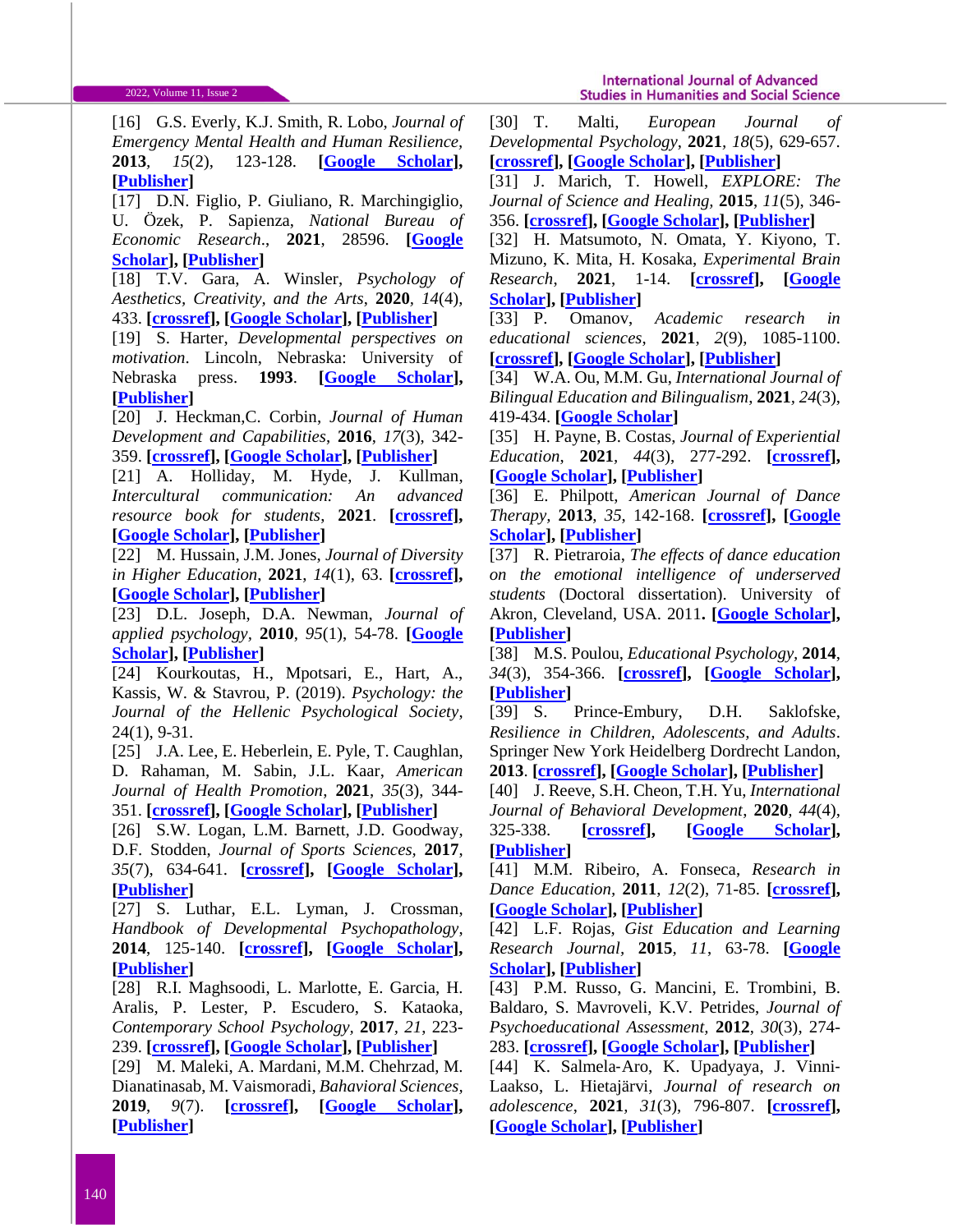[16] G.S. Everly, K.J. Smith, R. Lobo, *Journal of Emergency Mental Health and Human Resilience,*  **2013***, 15*(2), 123-128. **[\[Google Scholar\]](https://scholar.google.com/scholar?hl=en&as_sdt=0%2C5&q=+Everly%2C+G.+S.%2C+Smith%2C+K.+J.%2C+%26Lobo%2C+R.+%282013%29.+Resilient+Leadership+and+the+Organizational+Culture+of+Resilience%3A+Construct+Validation+International.+Journal+of+Emergency+Mental+Health+and+Human+Resilience%2C+15%282%29%2C+123-128.&btnG=), [\[Publisher\]](http://citeseerx.ist.psu.edu/viewdoc/download?doi=10.1.1.684.1107&rep=rep1&type=pdf#page=43)**

[17] D.N. Figlio, P. Giuliano, R. Marchingiglio, U. Özek, P. Sapienza, *National Bureau of Economic Research*., **2021**, 28596. **[\[Google](https://scholar.google.com/scholar?hl=en&as_sdt=0%2C5&q=Figlio%2C+D.+N.%2C+Giuliano%2C+P.%2C+Marchingiglio%2C+R.%2C+%C3%96zek%2C+U.%2C+%26+Sapienza%2C+P.+%282021%29.+Diversity+in+Schools%3A+Immigrants+and+the+Educational+Performance+of+US+Born+Students+%28No.+w28596%29.+National+Bureau+of+Economic+Research.&btnG=)  [Scholar\]](https://scholar.google.com/scholar?hl=en&as_sdt=0%2C5&q=Figlio%2C+D.+N.%2C+Giuliano%2C+P.%2C+Marchingiglio%2C+R.%2C+%C3%96zek%2C+U.%2C+%26+Sapienza%2C+P.+%282021%29.+Diversity+in+Schools%3A+Immigrants+and+the+Educational+Performance+of+US+Born+Students+%28No.+w28596%29.+National+Bureau+of+Economic+Research.&btnG=), [\[Publisher\]](https://www.nber.org/papers/w28596)**

[18] T.V. Gara, A. Winsler, *Psychology of Aesthetics, Creativity, and the Arts*, **2020***, 14*(4), 433. **[\[crossref\]](https://psycnet.apa.org/doi/10.1037/aca0000250), [\[Google Scholar\]](https://scholar.google.com/scholar?hl=en&as_sdt=0%2C5&q=Gara%2C+T.+V.%2C+%26+Winsler%2C+A.+%282020%29.+Selection+into%2C+and+academic+benefits+from%2C+middle+school+dance+elective+courses+among+urban+youth.+Psychology+of+Aesthetics%2C+Creativity%2C+and+the+Arts%2C+14%284%29%2C+433.&btnG=), [\[Publisher\]](https://psycnet.apa.org/record/2019-19127-001?doi=1)**

[19] S. Harter, *Developmental perspectives on motivation*. Lincoln, Nebraska: University of Nebraska press. **1993**. **[\[Google Scholar\]](https://scholar.google.com/scholar?hl=en&as_sdt=0%2C5&q=Harter%2C+S.+%281993%29.+Visions+of+self%3A+Beyond+the+me+in+the+mirror.+In+J.+Jacobs+%28Ed.%29%2C+Developmental+perspectives+on+motivation.+Lincoln%2C+Nebraska%3A+University+of+Nebraska+press.&btnG=), [\[Publisher\]](https://books.google.com/books?hl=en&lr=&id=Lz8wrzVy7BIC&oi=fnd&pg=PA99&dq=Harter,+S.+(1993).+Visions+of+self:+Beyond+the+me+in+the+mirror.+In+J.+Jacobs+(Ed.),+Developmental+perspectives+on+motivation.+Lincoln,+Nebraska:+University+of+Nebraska+press.&ots=KloYG6kl0X&sig=bBtBGIJ9sBvndW-Oxpit-8yuI8I#v=onepage&q&f=false)**

[20] J. Heckman,C. Corbin, *Journal of Human Development and Capabilities*, **2016**, *17*(3), 342- 359. **[\[crossref\]](https://doi.org/10.1080/19452829.2016.1200541), [\[Google Scholar\]](https://scholar.google.com/scholar?hl=en&as_sdt=0%2C5&q=+Heckman+J.%2C+%26+Corbin+C.%2C+%282016%29.+Capabilities+and+Skills.+Journal+of+Human+Development+and+Capabilities.+17%283%29%2C+342-359&btnG=), [\[Publisher\]](https://www.tandfonline.com/doi/abs/10.1080/19452829.2016.1200541)**

[21] A. Holliday, M. Hyde, J. Kullman, *Intercultural communication: An advanced resource book for students*, **2021**. **[\[crossref\]](https://doi.org/10.4324/9780367482480), [\[Google Scholar\]](https://scholar.google.com/scholar?hl=en&as_sdt=0%2C5&q=+Holliday%2C+A.%2C+Hyde%2C+M.%2C+%26+Kullman%2C+J.+%282021%29.+Intercultural+communication%3A+An+advanced+resource+book+for+students.+Routledge.&btnG=), [\[Publisher\]](https://www.taylorfrancis.com/books/mono/10.4324/9780367482480/intercultural-communication-adrian-holliday-martin-hyde-john-kullman)**

[22] M. Hussain, J.M. Jones, *Journal of Diversity in Higher Education*, **2021**, *14*(1), 63. **[\[crossref\]](https://psycnet.apa.org/doi/10.1037/dhe0000117), [\[Google Scholar\]](https://scholar.google.com/scholar?hl=en&as_sdt=0%2C5&q=Hussain%2C+M.%2C+%26+Jones%2C+J.+M.+%282021%29.+Discrimination%2C+diversity%2C+and+sense+of+belonging%3A+Experiences+of+students+of+color.+Journal+of+Diversity+in+Higher+Education%2C+14%281%29%2C+63.&btnG=), [\[Publisher\]](https://psycnet.apa.org/record/2019-22454-001)**

[23] D.L. Joseph, D.A. Newman, *Journal of applied psychology,* **2010**, *95*(1), 54-78. **[\[Google](https://scholar.google.com/scholar?hl=en&as_sdt=0%2C5&q=Joseph%2C+D.+L.%2C+%26+Newman%2C+D.+A.+%282010%29.+Emotional+intelligence%3A+an+integrative+metaan+integrative+metaanalysis+and+cascading+model.+Joyrnal+of+applied+psychology%2C+95%281%29%2C+54-78.&btnG=)  [Scholar\]](https://scholar.google.com/scholar?hl=en&as_sdt=0%2C5&q=Joseph%2C+D.+L.%2C+%26+Newman%2C+D.+A.+%282010%29.+Emotional+intelligence%3A+an+integrative+metaan+integrative+metaanalysis+and+cascading+model.+Joyrnal+of+applied+psychology%2C+95%281%29%2C+54-78.&btnG=), [\[Publisher\]](https://psycnet.apa.org/buy/2010-00343-013)**

[24] Kourkoutas, H., Mpotsari, E., Hart, A., Kassis, W. & Stavrou, P. (2019). *Psychology: the Journal of the Hellenic Psychological Society*, 24(1), 9-31.

[25] J.A. Lee, E. Heberlein, E. Pyle, T. Caughlan, D. Rahaman, M. Sabin, J.L. Kaar, *American Journal of Health Promotion*, **2021**, *35*(3), 344- 351. **[\[crossref\]](https://doi.org/10.1177%2F0890117120959152), [\[Google Scholar\]](https://scholar.google.com/scholar?hl=en&as_sdt=0%2C5&q=+Lee%2C+J.+A.%2C+Heberlein%2C+E.%2C+Pyle%2C+E.%2C+Caughlan%2C+T.%2C+Rahaman%2C+D.%2C+Sabin%2C+M.%2C+%26+Kaar%2C+J.+L.+%282021%29.+Evaluation+of+a+resiliency+focused+health+coaching+intervention+for+middle+school+students%3A+Building+resilience+for+healthy+kids+program.+American+Journal+&btnG=), [\[Publisher\]](https://journals.sagepub.com/doi/abs/10.1177/0890117120959152)**

[26] S.W. Logan, L.M. Barnett, J.D. Goodway, D.F. Stodden, *Journal of Sports Sciences,* **2017**, *35*(7), 634-641. **[\[crossref\]](https://doi.org/10.1080/02640414.2016.1183803), [\[Google Scholar\]](https://scholar.google.com/scholar?hl=en&as_sdt=0%2C5&q=Logan%2C+S.+W.%2C+Barnett%2C+L.+M.%2C+Goodway%2C+J.+D.%2C+%26Stodden%2C+D.+F.+%282017%29.+Comparison+of+performance+on+process-and+product-oriented+assessments+of+fundamental+motor+skills+across+childhood.+Journal+of+Sports+Sciences%2C+35%287%29%2C+634-641&btnG=), [\[Publisher\]](https://www.tandfonline.com/doi/abs/10.1080/02640414.2016.1183803)**

[27] S. Luthar, E.L. Lyman, J. Crossman, *Handbook of Developmental Psychopathology*, **2014**, 125-140. **[\[crossref\]](file:///D:/Users/Alexandros/Downloads/10.1007/978-1-4614-9608-3_7), [\[Google Scholar\]](https://scholar.google.com/scholar?hl=en&as_sdt=0%2C5&q=+Luthar%2C+S.%2C+Lyman%2C+E.L.%2C+%26+Crossman%2C+J.+2014.+Resilience+and+Positive+Psychology.+Handbook+of+Developmental+Psychopathology%2C+pp+125-140.&btnG=), [\[Publisher\]](https://link.springer.com/chapter/10.1007/978-1-4614-9608-3_7)**

[28] R.I. Maghsoodi, L. Marlotte, E. Garcia, H. Aralis, P. Lester, P. Escudero, S. Kataoka, *Contemporary School Psychology,* **2017***, 21*, 223- 239. **[\[crossref\]](https://doi.org/10.1016/j.chc.2010.07.001), [\[Google Scholar\]](https://scholar.google.com/scholar?hl=en&as_sdt=0%2C5&q=+Maghsoodi%2C+R.+I.%2C+Marlotte%2C+L.%2C+Garcia%2C+E.%2C+Aralis%2CH.%2C++Lester%2C+P.%2C+Escudero%2C+P.%2C+%26+Kataoka%2C+S.+%282017%29.+Adapting+and+implementing+a+school-based+resilience-building+curriculum+among+low-income+racial+and+ethnic+minority+students.+Contemporary+School+Ps&btnG=), [\[Publisher\]](https://link.springer.com/article/10.1007/s40688-017-0134-1)**

[29] M. Maleki, A. Mardani, M.M. Chehrzad, M. Dianatinasab, M. Vaismoradi, *Bahavioral Sciences,*  **2019**, *9*(7). **[\[crossref\]](https://doi.org/10.3390/bs9070074), [\[Google Scholar\]](https://scholar.google.com/scholar?hl=en&as_sdt=0%2C5&q=Maleki%2C+M.%2C+Mardani%2C+A.%2C+Chehrzad%2C+M%2C+M.%2C+Dianatinasab%2C+M.%2C+%26+Vaismoradi%2C+M.+%282019%29.+Social+Skills+in+Children+at+Home+and+in+Preschool.+Bahavioral+Sciences9%287%29.&btnG=), [\[Publisher\]](https://www.mdpi.com/2076-328X/9/7/74)**

[30] T. Malti, *European Journal of Developmental Psychology*, **2021***, 18*(5), 629-657. **[\[crossref\]](https://doi.org/10.1080/17405629.2020.1837617), [\[Google Scholar\]](https://scholar.google.com/scholar?hl=en&as_sdt=0%2C5&q=Malti%2C+T.+%282021%29.+Kindness%3A+A+perspective+from+developmental+psychology.+European+Journal+of+Developmental+Psychology%2C+18%285%29%2C+629-657.&btnG=), [\[Publisher\]](https://www.tandfonline.com/doi/abs/10.1080/17405629.2020.1837617)**

[31] J. Marich, T. Howell, *EXPLORE: The Journal of Science and Healing,* **2015**, *11*(5), 346- 356. **[\[crossref\]](https://doi.org/10.1016/j.explore.2015.07.001), [\[Google Scholar\]](https://scholar.google.com/scholar?hl=en&as_sdt=0%2C5&q=Marich%2C+J.%2C+%26+Howell%2C+T.+%282015%29.+Dancing+Mindfulness%3A+A+Phenomenological+Investigation+of+the+Emerging+Practice.+EXPLORE%3A+The+Journal+of+Science+and+Healing%2C+11%285%29%2C346-356.&btnG=), [\[Publisher\]](https://www.sciencedirect.com/science/article/abs/pii/S155083071500110X)**

[32] H. Matsumoto, N. Omata, Y. Kiyono, T. Mizuno, K. Mita, H. Kosaka, *Experimental Brain Research*, **2021**, 1-14. **[\[crossref\]](https://doi.org/10.1007/s00221-021-06149-x), [\[Google](https://scholar.google.com/scholar?hl=en&as_sdt=0%2C5&q=Matsumoto%2C+H.%2C+Omata%2C+N.%2C+Kiyono%2C+Y.%2C+Mizuno%2C+T.%2C+Mita%2C+K.%2C+%26+Kosaka%2C+H.+%282021%29.+Paradoxical+changes+in+mood-related+behaviors+on+continuous+social+isolation+after+weaning.+Experimental+Brain+Research%2C+1-14.&btnG=)  [Scholar\]](https://scholar.google.com/scholar?hl=en&as_sdt=0%2C5&q=Matsumoto%2C+H.%2C+Omata%2C+N.%2C+Kiyono%2C+Y.%2C+Mizuno%2C+T.%2C+Mita%2C+K.%2C+%26+Kosaka%2C+H.+%282021%29.+Paradoxical+changes+in+mood-related+behaviors+on+continuous+social+isolation+after+weaning.+Experimental+Brain+Research%2C+1-14.&btnG=), [\[Publisher\]](https://link.springer.com/article/10.1007/s00221-021-06149-x#citeas)**

[33] P. Omanov, *Academic research in educational sciences*, **2021**, *2*(9), 1085-1100. **[\[crossref\]](https://doi.org/10.1080/13670050.2018.1472207), [\[Google Scholar\]](https://scholar.google.com/scholar?hl=en&as_sdt=0%2C5&q=Omanov%2C+P.+%282021%29.+DEVELOPMENT+OF+STUDENTS%27SOCIO-CULTURAL+COMPETENCE+IN+ENGLISH+TEACHING+THROUGH+AUTHENTIC+VIDEO+MATERIALS.+Academic+research+in+educational+sciences%2C+2%289%29%2C+1085-1100.&btnG=), [\[Publisher\]](https://www.tandfonline.com/doi/abs/10.1080/13670050.2018.1472207)**

[34] W.A. Ou, M.M. Gu, *International Journal of Bilingual Education and Bilingualism*, **2021***, 24*(3), 419-434. **[\[Google Scholar\]](https://scholar.google.com/scholar?hl=en&as_sdt=0%2C5&q=Ou%2C+W.+A.%2C+%26+Gu%2C+M.+M.+%282021%29.+Language+socialization+and+identity+in+intercultural+communication%3A+Experience+of+Chinese+students+in+a+transnational+university+in+China.+International+Journal+of+Bilingual+Education+and+Bilingualism%2C+24%283%29%2C+419-434.&btnG=)**

[35] H. Payne, B. Costas, *Journal of Experiential Education*, **2021***, 44*(3), 277-292. **[\[crossref\]](https://doi.org/10.1177%2F1053825920968587), [\[Google Scholar\]](https://scholar.google.com/scholar?hl=en&as_sdt=0%2C5&q=+Payne%2C+H.%2C+%26+Costas%2C+B.+%282021%29.+Creative+dance+as+experiential+learning+in+state+primary+education%3A+The+Potential+Benefits+for+Children.+Journal+of+Experiential+Education%2C+44%283%29%2C+277-292.&btnG=), [\[Publisher\]](https://journals.sagepub.com/doi/full/10.1177/1053825920968587)**

[36] E. Philpott, *American Journal of Dance Therapy,* **2013**, *35*, 142-168. **[\[crossref\]](https://doi.org/10.1007/s10465-013-9158-x), [\[Google](https://scholar.google.com/scholar?hl=en&as_sdt=0%2C5&q=+Philpott%2C+E.+%282013%29.+Moving+Grief%3A+Exploring+Dance%2FMovement+Therapists%E2%80%99+Experiences+and+Applications+with+Grieving+Children.+American+Journal+of+Dance+Therapy+35%2C+142-168.&btnG=)  [Scholar\]](https://scholar.google.com/scholar?hl=en&as_sdt=0%2C5&q=+Philpott%2C+E.+%282013%29.+Moving+Grief%3A+Exploring+Dance%2FMovement+Therapists%E2%80%99+Experiences+and+Applications+with+Grieving+Children.+American+Journal+of+Dance+Therapy+35%2C+142-168.&btnG=), [\[Publisher\]](https://link.springer.com/article/10.1007%2Fs10465-013-9158-x)**

[37] R. Pietraroia, *The effects of dance education on the emotional intelligence of underserved students* (Doctoral dissertation). University of Akron, Cleveland, USA. 2011**. [\[Google Scholar\]](https://scholar.google.com/scholar?hl=en&as_sdt=0%2C5&q=+Pietraroia%2C+R.+%282011%29.+The+effects+of+dance+education+on+the+emotional+intelligence+of+underserved+students+%28Doctoral+dissertation%29.+University+of+Akron%2C+Cleveland%2C+USA&btnG=), [\[Publisher\]](https://etd.ohiolink.edu/apexprod/rws_olink/r/1501/10?clear=10&p10_accession_num=akron1321294319)**

[38] M.S. Poulou, *Educational Psychology,* **2014**, *34*(3), 354-366. **[\[crossref\]](https://doi.org/10.1080/01443410.2013.785062), [\[Google Scholar\]](https://scholar.google.com/scholar?hl=en&as_sdt=0%2C5&q=Poulou%2C+M.+S.+%282014%29.+How+are+trait+emotional+intelligence+and+social+skills+related+to+emotional+and+behavioural+difficulties+in+adolescents.+Educational+Psychology%2C+34%283%29%2C+354-366.&btnG=), [\[Publisher\]](https://www.tandfonline.com/doi/abs/10.1080/01443410.2013.785062)**

[39] S. Prince-Embury, D.H. Saklofske, *Resilience in Children, Adolescents, and Adults*. Springer New York Heidelberg Dordrecht Landon, **2013**. **[\[crossref\]](file:///D:/Users/Alexandros/Downloads/10.1007/978-1-4614-4939-3_2), [\[Google Scholar\]](https://scholar.google.com/scholar?hl=en&as_sdt=0%2C5&q=Prince-Embury%2C+S.%2C+%26Saklofske%2C+D+H.+%282013%29.+Translating+Resilience+Theory+for+Assessment+and+Application+with+Children%2C+Adolescents%2C+and+Adults%3A+Conceptual+Issues.+Resilience+in+Children%2C+Adolescents%2C+and+Adults.+Springer+New+York+Heidelberg+Dordrecht+&btnG=), [\[Publisher\]](https://link.springer.com/chapter/10.1007/978-1-4614-4939-3_2)**

[40] J. Reeve, S.H. Cheon, T.H. Yu, *International Journal of Behavioral Development*, **2020***, 44*(4), 325-338. **[\[crossref\]](https://doi.org/10.1177%2F0165025420911103), [\[Google Scholar\]](https://scholar.google.com/scholar?hl=en&as_sdt=0%2C5&q=Reeve%2C+J.%2C+Cheon%2C+S.+H.%2C+%26+Yu%2C+T.+H.+%282020%29.+An+autonomy-supportive+intervention+to+develop+students%E2%80%99+resilience+by+boosting+agentic+engagement.+International+Journal+of+Behavioral+Development%2C+44%284%29%2C+325-338.&btnG=), [\[Publisher\]](https://journals.sagepub.com/doi/abs/10.1177/0165025420911103)**

[41] M.M. Ribeiro, A. Fonseca, *Research in Dance Education,* **2011**, *12*(2), 71-85. **[\[crossref\]](https://doi.org/10.1080/14647893.2011.575220), [\[Google Scholar\]](https://scholar.google.com/scholar?hl=en&as_sdt=0%2C5&q=Ribeiro%2C+M.+M.%2C+%26+Fonseca%2C+A.+%282011%29.+The+empathy+and+the+structuring+sharing+modes+of+movement+sequences+in+the+improvisation+of+contemporary+dance.+Research+in+Dance+Education%2C+12%282%29%2C71-85.&btnG=), [\[Publisher\]](https://www.tandfonline.com/doi/abs/10.1080/14647893.2011.575220)**

[42] L.F. Rojas, *Gist Education and Learning Research Journal,* **2015***, 11*, 63-78. **[\[Google](https://scholar.google.com/scholar?hl=en&as_sdt=0%2C5&q=Rojas%2C+L.%2C+F.+%282015%29.+Factors+affecting+academic+resilience+in+middle-school+students%3A+A+case+study.+Gist+Education+and+Learning+Research+Journal%2C+11%2C+63-78.&btnG=)  [Scholar\]](https://scholar.google.com/scholar?hl=en&as_sdt=0%2C5&q=Rojas%2C+L.%2C+F.+%282015%29.+Factors+affecting+academic+resilience+in+middle-school+students%3A+A+case+study.+Gist+Education+and+Learning+Research+Journal%2C+11%2C+63-78.&btnG=), [\[Publisher\]](https://dialnet.unirioja.es/servlet/articulo?codigo=5278992)**

[43] P.M. Russo, G. Mancini, E. Trombini, B. Baldaro, S. Mavroveli, K.V. Petrides, *Journal of Psychoeducational Assessment,* **2012**, *30*(3), 274- 283. **[\[crossref\]](https://doi.org/10.1177%2F0734282911426412), [\[Google Scholar\]](https://scholar.google.com/scholar?hl=en&as_sdt=0%2C5&q=Russo%2C+P.+M.%2C+Mancini%2C+G.%2C+Trombini%2C+E.%2C+Baldaro%2C+B.%2C+Mavroveli%2C+S.%2C+%26+Petrides%2C+K.+V.+%282012%29.+Trait+emotional+intelligence+and+the+Big+Five%3A+A+study+on+Italian+children+and+preadolescents.+Journal+of+Psychoeducational+Assessment%2C+30%283%29%2C+274-283&btnG=), [\[Publisher\]](https://journals.sagepub.com/doi/abs/10.1177/0734282911426412)**

[44] K. Salmela‐Aro, K. Upadyaya, J. Vinni‐ Laakso, L. Hietajärvi, *Journal of research on adolescence*, **2021***, 31*(3), 796-807. **[\[crossref\]](https://doi.org/10.1111/jora.12654), [\[Google Scholar\]](https://scholar.google.com/scholar?hl=en&as_sdt=0%2C5&q=Salmela%E2%80%90Aro%2C+K.%2C+Upadyaya%2C+K.%2C+Vinni%E2%80%90Laakso%2C+J.%2C+%26+Hietaj%C3%A4rvi%2C+L.+%282021%29.+Adolescents%27+Longitudinal+School+Engagement+and+Burnout+Before+and+During+COVID%E2%80%9019%E2%80%94The+Role+of+Socio%E2%80%90Emotional+Skills.+Journal+of+research+on+adolescence%2C+31%283%29%2C+796-8&btnG=), [\[Publisher\]](https://onlinelibrary.wiley.com/doi/full/10.1111/jora.12654)**